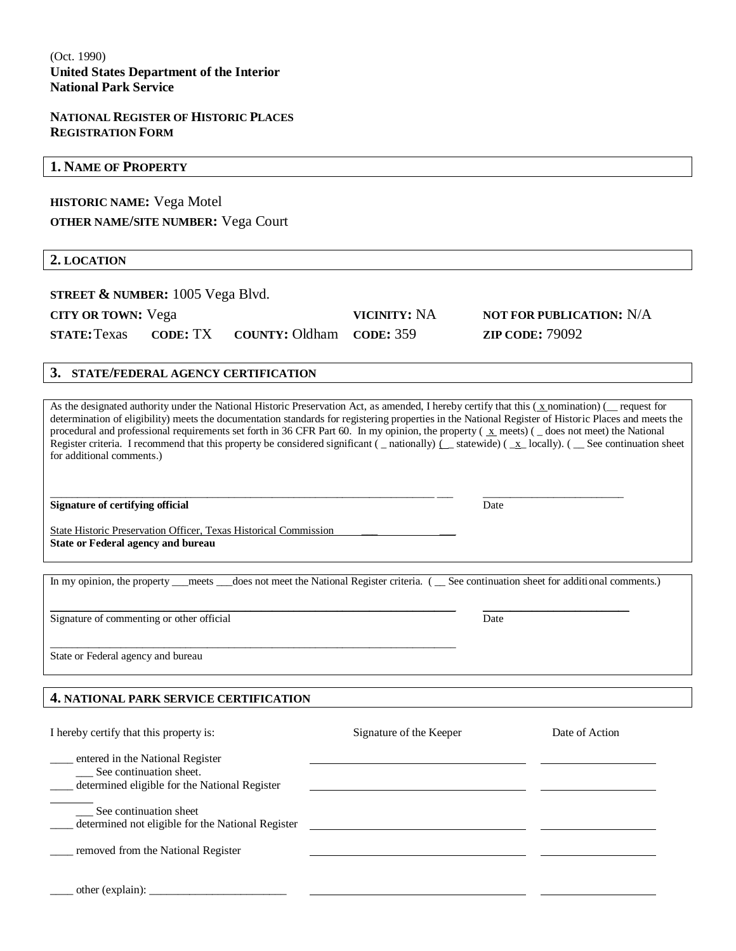#### **NATIONAL REGISTER OF HISTORIC PLACES REGISTRATION FORM**

#### **1. NAME OF PROPERTY**

## **HISTORIC NAME:** Vega Motel **OTHER NAME/SITE NUMBER:** Vega Court

#### **2. LOCATION**

| STREET $\&$ NUMBER: 1005 Vega Blvd. |  |
|-------------------------------------|--|
|-------------------------------------|--|

### **CITY OR TOWN:** Vega **VICINITY:** NA **NOT FOR PUBLICATION:** N/A **STATE:**Texas **CODE:** TX **COUNTY:** Oldham **CODE:** 359 **ZIP CODE:** 79092

### **3. STATE/FEDERAL AGENCY CERTIFICATION**

As the designated authority under the National Historic Preservation Act, as amended, I hereby certify that this  $(x_0, x_1)$  request for determination of eligibility) meets the documentation standards for registering properties in the National Register of Historic Places and meets the procedural and professional requirements set forth in 36 CFR Part 60. In my opinion, the property ( x meets) ( \_ does not meet) the National Register criteria. I recommend that this property be considered significant  $(\square$  nationally)  $(\square$  statewide)  $(\square x \square$  locally). ( $\square$  See continuation sheet for additional comments.)

#### **Signature of certifying official** Date **Date** Date **Date** Date **Date** Date **Date**

State Historic Preservation Officer, Texas Historical Commission **State or Federal agency and bureau** 

\_\_\_\_\_\_\_\_\_\_\_\_\_\_\_\_\_\_\_\_\_\_\_\_\_\_\_\_\_\_\_\_\_\_\_\_\_\_\_\_\_\_\_\_\_\_\_\_\_\_\_\_\_\_\_\_\_\_\_\_\_\_\_\_\_\_\_\_\_\_\_\_\_\_\_

In my opinion, the property \_\_\_meets \_\_\_does not meet the National Register criteria. ( \_\_ See continuation sheet for additional comments.)

 $\_$  , and the set of the set of the set of the set of the set of the set of the set of the set of the set of the set of the set of the set of the set of the set of the set of the set of the set of the set of the set of th

\_\_\_\_\_\_\_\_\_\_\_\_\_\_\_\_\_\_\_\_\_\_\_\_\_\_\_\_\_\_\_\_\_\_\_\_\_\_\_\_\_\_\_\_\_\_\_\_\_\_\_\_\_\_\_\_\_\_\_\_\_\_\_\_\_\_\_\_\_\_\_ \_\_\_ \_\_\_\_\_\_\_\_\_\_\_\_\_\_\_\_\_\_\_\_\_\_\_\_\_\_

Signature of commenting or other official Date

State or Federal agency and bureau

#### **4. NATIONAL PARK SERVICE CERTIFICATION**

| I hereby certify that this property is:                                                                      | Signature of the Keeper | Date of Action |
|--------------------------------------------------------------------------------------------------------------|-------------------------|----------------|
| entered in the National Register<br>See continuation sheet.<br>determined eligible for the National Register |                         |                |
| See continuation sheet<br>determined not eligible for the National Register                                  |                         |                |
| removed from the National Register                                                                           |                         |                |
| other (explain):                                                                                             |                         |                |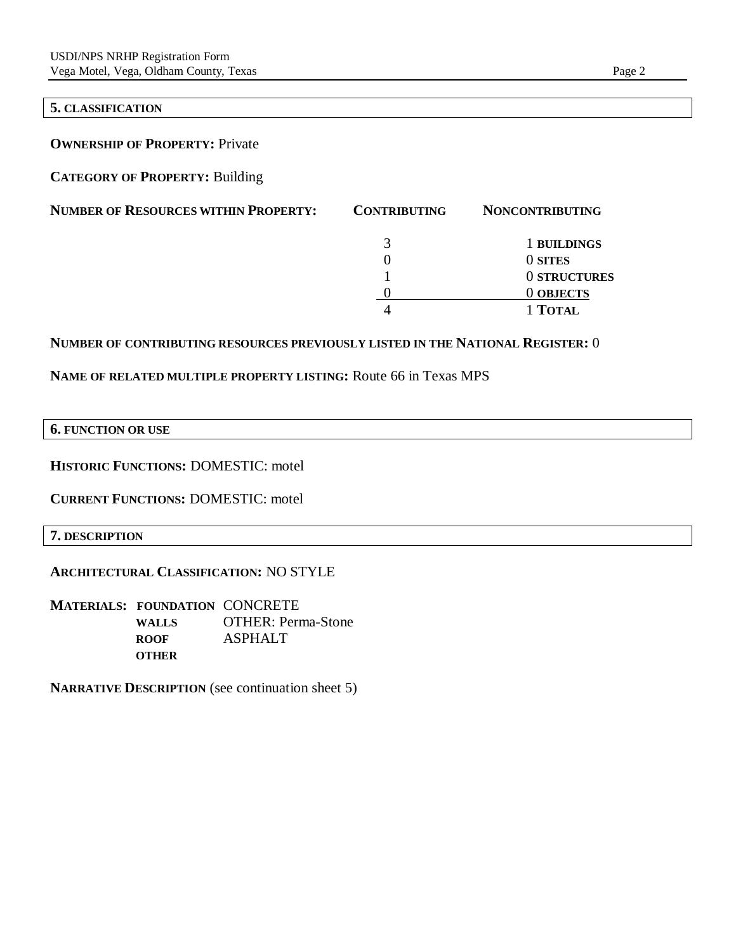#### **5. CLASSIFICATION**

**OWNERSHIP OF PROPERTY:** Private

**CATEGORY OF PROPERTY:** Building

| <b>NUMBER OF RESOURCES WITHIN PROPERTY:</b> | <b>CONTRIBUTING</b> | <b>NONCONTRIBUTING</b> |
|---------------------------------------------|---------------------|------------------------|
|                                             | 3                   | 1 BUILDINGS            |
|                                             |                     | 0 SITES                |
|                                             |                     | 0 STRUCTURES           |
|                                             |                     | 0 OBJECTS              |
|                                             |                     | 1 TOTAL                |

#### **NUMBER OF CONTRIBUTING RESOURCES PREVIOUSLY LISTED IN THE NATIONAL REGISTER:** 0

## **NAME OF RELATED MULTIPLE PROPERTY LISTING:** Route 66 in Texas MPS

**6. FUNCTION OR USE**

**HISTORIC FUNCTIONS:** DOMESTIC: motel

**CURRENT FUNCTIONS:** DOMESTIC: motel

**7. DESCRIPTION**

#### **ARCHITECTURAL CLASSIFICATION:** NO STYLE

**MATERIALS: FOUNDATION** CONCRETE **WALLS** OTHER: Perma-Stone **ROOF** ASPHALT **OTHER**

**NARRATIVE DESCRIPTION** (see continuation sheet 5)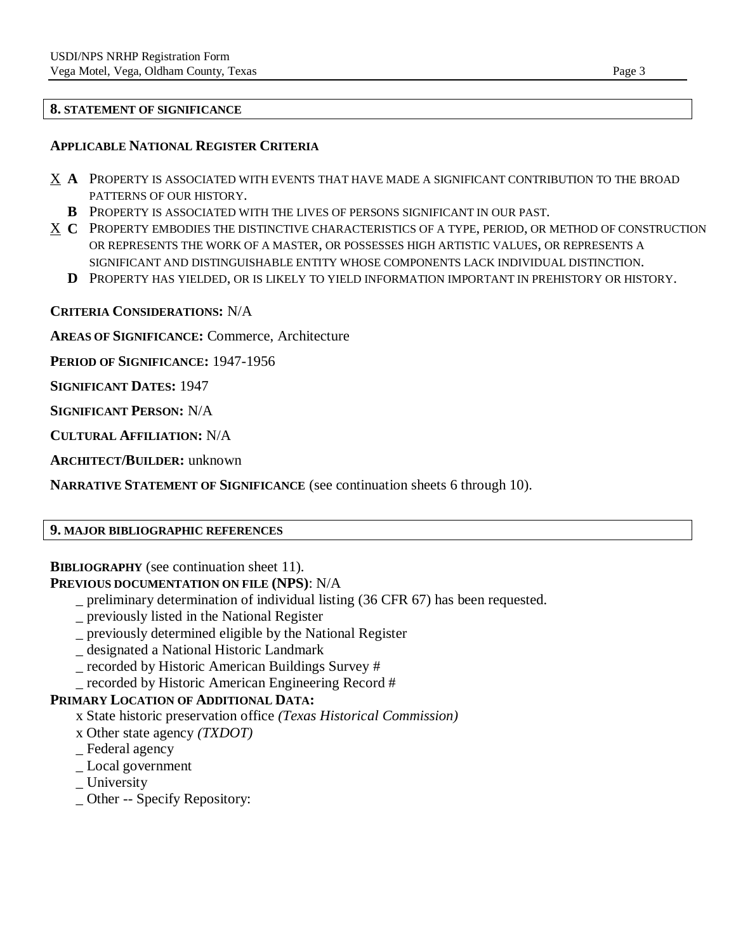### **8. STATEMENT OF SIGNIFICANCE**

### **APPLICABLE NATIONAL REGISTER CRITERIA**

- X **A** PROPERTY IS ASSOCIATED WITH EVENTS THAT HAVE MADE A SIGNIFICANT CONTRIBUTION TO THE BROAD PATTERNS OF OUR HISTORY.
	- **B** PROPERTY IS ASSOCIATED WITH THE LIVES OF PERSONS SIGNIFICANT IN OUR PAST.
- X **C** PROPERTY EMBODIES THE DISTINCTIVE CHARACTERISTICS OF A TYPE, PERIOD, OR METHOD OF CONSTRUCTION OR REPRESENTS THE WORK OF A MASTER, OR POSSESSES HIGH ARTISTIC VALUES, OR REPRESENTS A SIGNIFICANT AND DISTINGUISHABLE ENTITY WHOSE COMPONENTS LACK INDIVIDUAL DISTINCTION.
	- **D** PROPERTY HAS YIELDED, OR IS LIKELY TO YIELD INFORMATION IMPORTANT IN PREHISTORY OR HISTORY.

## **CRITERIA CONSIDERATIONS:** N/A

**AREAS OF SIGNIFICANCE:** Commerce, Architecture

**PERIOD OF SIGNIFICANCE:** 1947-1956

**SIGNIFICANT DATES:** 1947

**SIGNIFICANT PERSON:** N/A

**CULTURAL AFFILIATION:** N/A

**ARCHITECT/BUILDER:** unknown

**NARRATIVE STATEMENT OF SIGNIFICANCE** (see continuation sheets 6 through 10).

### **9. MAJOR BIBLIOGRAPHIC REFERENCES**

**BIBLIOGRAPHY** (see continuation sheet 11).

### **PREVIOUS DOCUMENTATION ON FILE (NPS)**: N/A

- \_ preliminary determination of individual listing (36 CFR 67) has been requested.
- \_ previously listed in the National Register
- \_ previously determined eligible by the National Register
- \_ designated a National Historic Landmark
- \_ recorded by Historic American Buildings Survey #
- \_ recorded by Historic American Engineering Record #

### **PRIMARY LOCATION OF ADDITIONAL DATA:**

- x State historic preservation office *(Texas Historical Commission)*
- x Other state agency *(TXDOT)*
- \_ Federal agency
- \_ Local government
- \_ University
- \_ Other -- Specify Repository: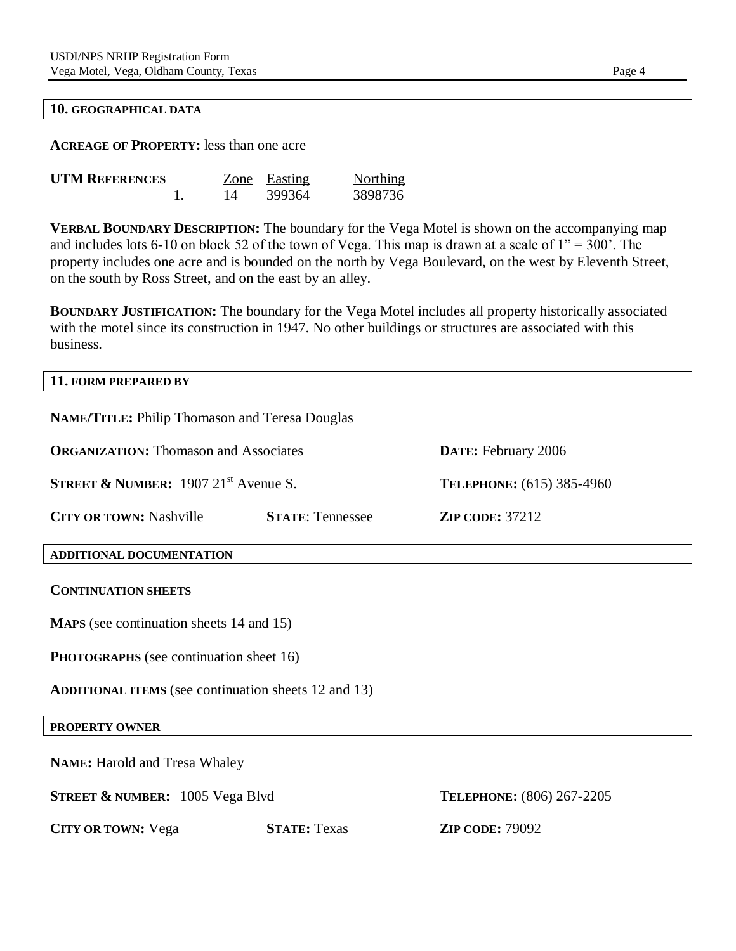#### **10. GEOGRAPHICAL DATA**

**ACREAGE OF PROPERTY:** less than one acre

| <b>UTM REFERENCES</b> |    | Zone Easting | <b>Northing</b> |
|-----------------------|----|--------------|-----------------|
|                       | 14 | 399364       | 3898736         |

**VERBAL BOUNDARY DESCRIPTION:** The boundary for the Vega Motel is shown on the accompanying map and includes lots 6-10 on block 52 of the town of Vega. This map is drawn at a scale of  $1" = 300"$ . The property includes one acre and is bounded on the north by Vega Boulevard, on the west by Eleventh Street, on the south by Ross Street, and on the east by an alley.

**BOUNDARY JUSTIFICATION:** The boundary for the Vega Motel includes all property historically associated with the motel since its construction in 1947. No other buildings or structures are associated with this business.

#### **11. FORM PREPARED BY**

| <b>NAME/TITLE: Philip Thomason and Teresa Douglas</b>       |                                                                     |                           |  |  |  |
|-------------------------------------------------------------|---------------------------------------------------------------------|---------------------------|--|--|--|
|                                                             | <b>ORGANIZATION: Thomason and Associates</b><br>DATE: February 2006 |                           |  |  |  |
| <b>STREET &amp; NUMBER:</b> 1907 21 <sup>st</sup> Avenue S. |                                                                     | TELEPHONE: (615) 385-4960 |  |  |  |
| <b>CITY OR TOWN: Nashville</b>                              | <b>STATE: Tennessee</b>                                             | <b>ZIP CODE: 37212</b>    |  |  |  |
| ADDITIONAL DOCUMENTATION                                    |                                                                     |                           |  |  |  |
| <b>CONTINUATION SHEETS</b>                                  |                                                                     |                           |  |  |  |
| <b>MAPS</b> (see continuation sheets 14 and 15)             |                                                                     |                           |  |  |  |
| <b>PHOTOGRAPHS</b> (see continuation sheet 16)              |                                                                     |                           |  |  |  |
| <b>ADDITIONAL ITEMS</b> (see continuation sheets 12 and 13) |                                                                     |                           |  |  |  |
| <b>PROPERTY OWNER</b>                                       |                                                                     |                           |  |  |  |
| <b>NAME:</b> Harold and Tresa Whaley                        |                                                                     |                           |  |  |  |
| <b>STREET &amp; NUMBER:</b> 1005 Vega Blvd                  |                                                                     | TELEPHONE: (806) 267-2205 |  |  |  |
| <b>CITY OR TOWN: Vega</b>                                   | <b>STATE: Texas</b>                                                 | <b>ZIP CODE: 79092</b>    |  |  |  |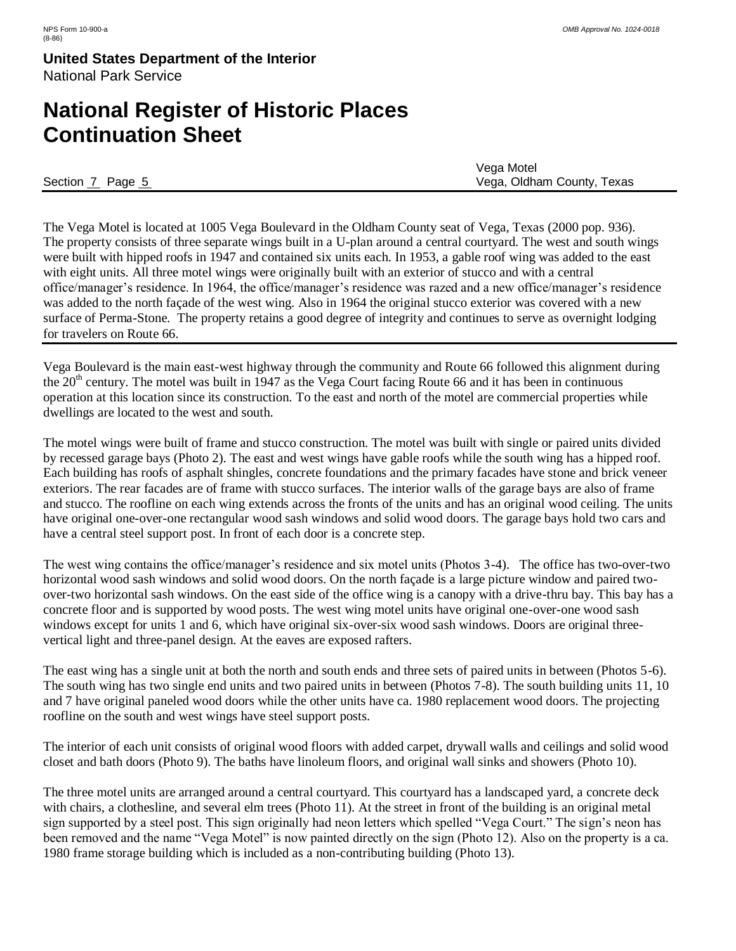## **National Register of Historic Places Continuation Sheet**

|                  | Vega Motel                 |
|------------------|----------------------------|
| Section 7 Page 5 | Vega, Oldham County, Texas |

The Vega Motel is located at 1005 Vega Boulevard in the Oldham County seat of Vega, Texas (2000 pop. 936). The property consists of three separate wings built in a U-plan around a central courtyard. The west and south wings were built with hipped roofs in 1947 and contained six units each. In 1953, a gable roof wing was added to the east with eight units. All three motel wings were originally built with an exterior of stucco and with a central office/manager's residence. In 1964, the office/manager's residence was razed and a new office/manager's residence was added to the north façade of the west wing. Also in 1964 the original stucco exterior was covered with a new surface of Perma-Stone. The property retains a good degree of integrity and continues to serve as overnight lodging for travelers on Route 66.

Vega Boulevard is the main east-west highway through the community and Route 66 followed this alignment during the  $20<sup>th</sup>$  century. The motel was built in 1947 as the Vega Court facing Route 66 and it has been in continuous operation at this location since its construction. To the east and north of the motel are commercial properties while dwellings are located to the west and south.

The motel wings were built of frame and stucco construction. The motel was built with single or paired units divided by recessed garage bays (Photo 2). The east and west wings have gable roofs while the south wing has a hipped roof. Each building has roofs of asphalt shingles, concrete foundations and the primary facades have stone and brick veneer exteriors. The rear facades are of frame with stucco surfaces. The interior walls of the garage bays are also of frame and stucco. The roofline on each wing extends across the fronts of the units and has an original wood ceiling. The units have original one-over-one rectangular wood sash windows and solid wood doors. The garage bays hold two cars and have a central steel support post. In front of each door is a concrete step.

The west wing contains the office/manager's residence and six motel units (Photos 3-4). The office has two-over-two horizontal wood sash windows and solid wood doors. On the north façade is a large picture window and paired twoover-two horizontal sash windows. On the east side of the office wing is a canopy with a drive-thru bay. This bay has a concrete floor and is supported by wood posts. The west wing motel units have original one-over-one wood sash windows except for units 1 and 6, which have original six-over-six wood sash windows. Doors are original threevertical light and three-panel design. At the eaves are exposed rafters.

The east wing has a single unit at both the north and south ends and three sets of paired units in between (Photos 5-6). The south wing has two single end units and two paired units in between (Photos 7-8). The south building units 11, 10 and 7 have original paneled wood doors while the other units have ca. 1980 replacement wood doors. The projecting roofline on the south and west wings have steel support posts.

The interior of each unit consists of original wood floors with added carpet, drywall walls and ceilings and solid wood closet and bath doors (Photo 9). The baths have linoleum floors, and original wall sinks and showers (Photo 10).

The three motel units are arranged around a central courtyard. This courtyard has a landscaped yard, a concrete deck with chairs, a clothesline, and several elm trees (Photo 11). At the street in front of the building is an original metal sign supported by a steel post. This sign originally had neon letters which spelled "Vega Court." The sign's neon has been removed and the name "Vega Motel" is now painted directly on the sign (Photo 12). Also on the property is a ca. 1980 frame storage building which is included as a non-contributing building (Photo 13).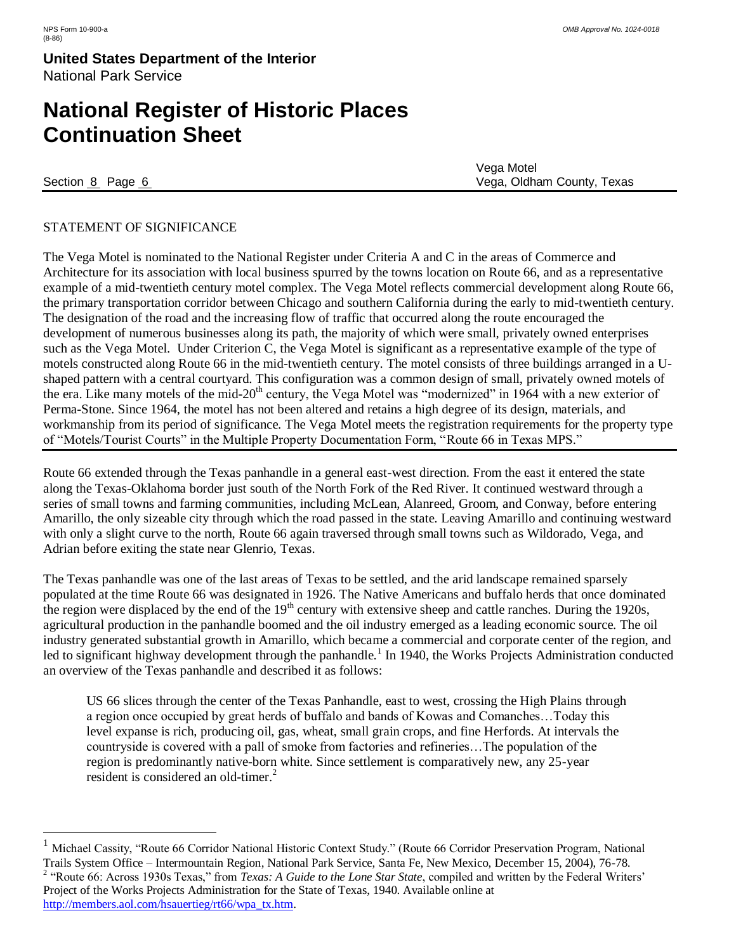# **National Register of Historic Places Continuation Sheet**

 $\overline{a}$ 

Vega Motel Section 8 Page 6 Vega, Oldham County, Texas

### STATEMENT OF SIGNIFICANCE

The Vega Motel is nominated to the National Register under Criteria A and C in the areas of Commerce and Architecture for its association with local business spurred by the towns location on Route 66, and as a representative example of a mid-twentieth century motel complex. The Vega Motel reflects commercial development along Route 66, the primary transportation corridor between Chicago and southern California during the early to mid-twentieth century. The designation of the road and the increasing flow of traffic that occurred along the route encouraged the development of numerous businesses along its path, the majority of which were small, privately owned enterprises such as the Vega Motel. Under Criterion C, the Vega Motel is significant as a representative example of the type of motels constructed along Route 66 in the mid-twentieth century. The motel consists of three buildings arranged in a Ushaped pattern with a central courtyard. This configuration was a common design of small, privately owned motels of the era. Like many motels of the mid-20<sup>th</sup> century, the Vega Motel was "modernized" in 1964 with a new exterior of Perma-Stone. Since 1964, the motel has not been altered and retains a high degree of its design, materials, and workmanship from its period of significance. The Vega Motel meets the registration requirements for the property type of "Motels/Tourist Courts" in the Multiple Property Documentation Form, "Route 66 in Texas MPS."

Route 66 extended through the Texas panhandle in a general east-west direction. From the east it entered the state along the Texas-Oklahoma border just south of the North Fork of the Red River. It continued westward through a series of small towns and farming communities, including McLean, Alanreed, Groom, and Conway, before entering Amarillo, the only sizeable city through which the road passed in the state. Leaving Amarillo and continuing westward with only a slight curve to the north, Route 66 again traversed through small towns such as Wildorado, Vega, and Adrian before exiting the state near Glenrio, Texas.

The Texas panhandle was one of the last areas of Texas to be settled, and the arid landscape remained sparsely populated at the time Route 66 was designated in 1926. The Native Americans and buffalo herds that once dominated the region were displaced by the end of the  $19<sup>th</sup>$  century with extensive sheep and cattle ranches. During the 1920s, agricultural production in the panhandle boomed and the oil industry emerged as a leading economic source. The oil industry generated substantial growth in Amarillo, which became a commercial and corporate center of the region, and led to significant highway development through the panhandle.<sup>1</sup> In 1940, the Works Projects Administration conducted an overview of the Texas panhandle and described it as follows:

US 66 slices through the center of the Texas Panhandle, east to west, crossing the High Plains through a region once occupied by great herds of buffalo and bands of Kowas and Comanches…Today this level expanse is rich, producing oil, gas, wheat, small grain crops, and fine Herfords. At intervals the countryside is covered with a pall of smoke from factories and refineries…The population of the region is predominantly native-born white. Since settlement is comparatively new, any 25-year resident is considered an old-timer.<sup>2</sup>

<sup>1</sup> Michael Cassity, "Route 66 Corridor National Historic Context Study." (Route 66 Corridor Preservation Program, National Trails System Office – Intermountain Region, National Park Service, Santa Fe, New Mexico, December 15, 2004), 76-78. <sup>2</sup> "Route 66: Across 1930s Texas," from *Texas: A Guide to the Lone Star State*, compiled and written by the Federal Writers' Project of the Works Projects Administration for the State of Texas, 1940. Available online at [http://members.aol.com/hsauertieg/rt66/wpa\\_tx.htm.](http://members.aol.com/hsauertieg/rt66/wpa_tx.htm)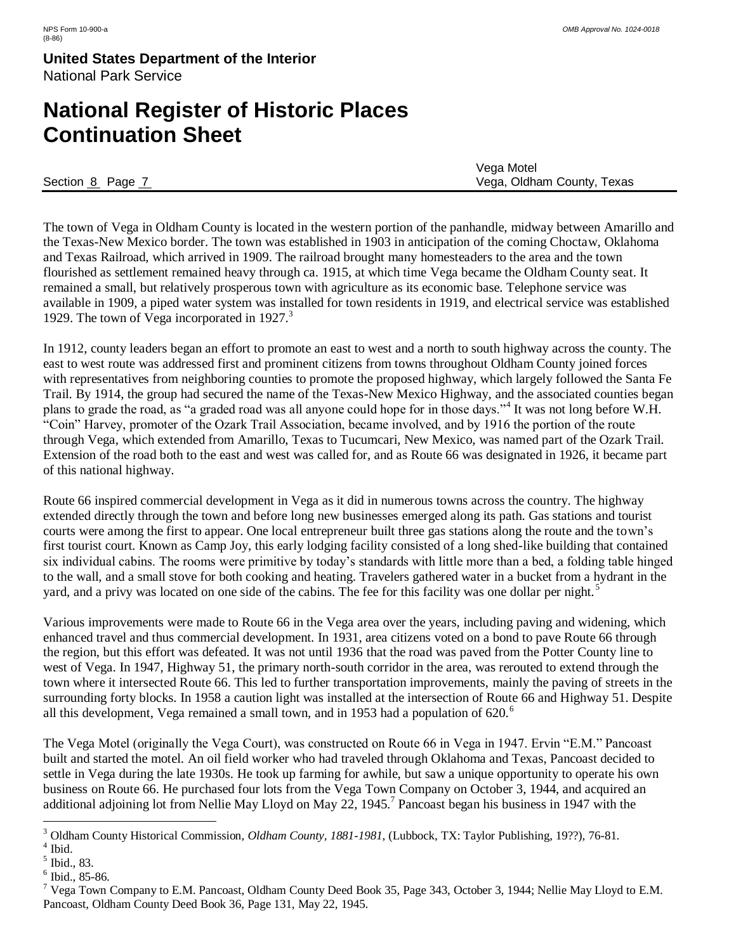## **National Register of Historic Places Continuation Sheet**

|                | Vega Motel                 |
|----------------|----------------------------|
| Section 8 Page | Vega, Oldham County, Texas |

The town of Vega in Oldham County is located in the western portion of the panhandle, midway between Amarillo and the Texas-New Mexico border. The town was established in 1903 in anticipation of the coming Choctaw, Oklahoma and Texas Railroad, which arrived in 1909. The railroad brought many homesteaders to the area and the town flourished as settlement remained heavy through ca. 1915, at which time Vega became the Oldham County seat. It remained a small, but relatively prosperous town with agriculture as its economic base. Telephone service was available in 1909, a piped water system was installed for town residents in 1919, and electrical service was established 1929. The town of Vega incorporated in  $1927<sup>3</sup>$ 

In 1912, county leaders began an effort to promote an east to west and a north to south highway across the county. The east to west route was addressed first and prominent citizens from towns throughout Oldham County joined forces with representatives from neighboring counties to promote the proposed highway, which largely followed the Santa Fe Trail. By 1914, the group had secured the name of the Texas-New Mexico Highway, and the associated counties began plans to grade the road, as "a graded road was all anyone could hope for in those days."<sup>4</sup> It was not long before W.H. "Coin" Harvey, promoter of the Ozark Trail Association, became involved, and by 1916 the portion of the route through Vega, which extended from Amarillo, Texas to Tucumcari, New Mexico, was named part of the Ozark Trail. Extension of the road both to the east and west was called for, and as Route 66 was designated in 1926, it became part of this national highway.

Route 66 inspired commercial development in Vega as it did in numerous towns across the country. The highway extended directly through the town and before long new businesses emerged along its path. Gas stations and tourist courts were among the first to appear. One local entrepreneur built three gas stations along the route and the town's first tourist court. Known as Camp Joy, this early lodging facility consisted of a long shed-like building that contained six individual cabins. The rooms were primitive by today's standards with little more than a bed, a folding table hinged to the wall, and a small stove for both cooking and heating. Travelers gathered water in a bucket from a hydrant in the yard, and a privy was located on one side of the cabins. The fee for this facility was one dollar per night.<sup>5</sup>

Various improvements were made to Route 66 in the Vega area over the years, including paving and widening, which enhanced travel and thus commercial development. In 1931, area citizens voted on a bond to pave Route 66 through the region, but this effort was defeated. It was not until 1936 that the road was paved from the Potter County line to west of Vega. In 1947, Highway 51, the primary north-south corridor in the area, was rerouted to extend through the town where it intersected Route 66. This led to further transportation improvements, mainly the paving of streets in the surrounding forty blocks. In 1958 a caution light was installed at the intersection of Route 66 and Highway 51. Despite all this development, Vega remained a small town, and in 1953 had a population of  $620^\circ$ .

The Vega Motel (originally the Vega Court), was constructed on Route 66 in Vega in 1947. Ervin "E.M." Pancoast built and started the motel. An oil field worker who had traveled through Oklahoma and Texas, Pancoast decided to settle in Vega during the late 1930s. He took up farming for awhile, but saw a unique opportunity to operate his own business on Route 66. He purchased four lots from the Vega Town Company on October 3, 1944, and acquired an additional adjoining lot from Nellie May Lloyd on May 22, 1945.<sup>7</sup> Pancoast began his business in 1947 with the

 $\overline{a}$ 

<sup>3</sup> Oldham County Historical Commission, *Oldham County, 1881-1981*, (Lubbock, TX: Taylor Publishing, 19??), 76-81.

<sup>4</sup> Ibid.

<sup>5</sup> Ibid., 83.

<sup>6</sup> Ibid., 85-86.

 $^7$  Vega Town Company to E.M. Pancoast, Oldham County Deed Book 35, Page 343, October 3, 1944; Nellie May Lloyd to E.M. Pancoast, Oldham County Deed Book 36, Page 131, May 22, 1945.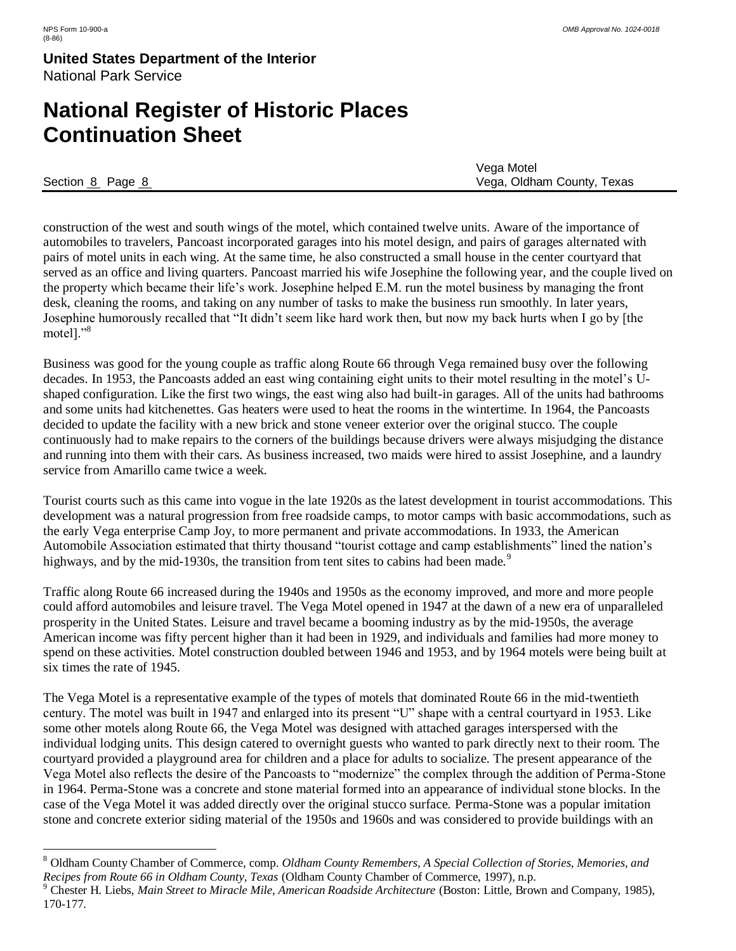$\overline{a}$ 

#### **United States Department of the Interior** National Park Service

## **National Register of Historic Places Continuation Sheet**

|                  | Vega Motel                 |
|------------------|----------------------------|
| Section 8 Page 8 | Vega, Oldham County, Texas |

construction of the west and south wings of the motel, which contained twelve units. Aware of the importance of automobiles to travelers, Pancoast incorporated garages into his motel design, and pairs of garages alternated with pairs of motel units in each wing. At the same time, he also constructed a small house in the center courtyard that served as an office and living quarters. Pancoast married his wife Josephine the following year, and the couple lived on the property which became their life's work. Josephine helped E.M. run the motel business by managing the front desk, cleaning the rooms, and taking on any number of tasks to make the business run smoothly. In later years, Josephine humorously recalled that "It didn't seem like hard work then, but now my back hurts when I go by [the motel]."<sup>8</sup>

Business was good for the young couple as traffic along Route 66 through Vega remained busy over the following decades. In 1953, the Pancoasts added an east wing containing eight units to their motel resulting in the motel's Ushaped configuration. Like the first two wings, the east wing also had built-in garages. All of the units had bathrooms and some units had kitchenettes. Gas heaters were used to heat the rooms in the wintertime. In 1964, the Pancoasts decided to update the facility with a new brick and stone veneer exterior over the original stucco. The couple continuously had to make repairs to the corners of the buildings because drivers were always misjudging the distance and running into them with their cars. As business increased, two maids were hired to assist Josephine, and a laundry service from Amarillo came twice a week.

Tourist courts such as this came into vogue in the late 1920s as the latest development in tourist accommodations. This development was a natural progression from free roadside camps, to motor camps with basic accommodations, such as the early Vega enterprise Camp Joy, to more permanent and private accommodations. In 1933, the American Automobile Association estimated that thirty thousand "tourist cottage and camp establishments" lined the nation's highways, and by the mid-1930s, the transition from tent sites to cabins had been made.<sup>9</sup>

Traffic along Route 66 increased during the 1940s and 1950s as the economy improved, and more and more people could afford automobiles and leisure travel. The Vega Motel opened in 1947 at the dawn of a new era of unparalleled prosperity in the United States. Leisure and travel became a booming industry as by the mid-1950s, the average American income was fifty percent higher than it had been in 1929, and individuals and families had more money to spend on these activities. Motel construction doubled between 1946 and 1953, and by 1964 motels were being built at six times the rate of 1945.

The Vega Motel is a representative example of the types of motels that dominated Route 66 in the mid-twentieth century. The motel was built in 1947 and enlarged into its present "U" shape with a central courtyard in 1953. Like some other motels along Route 66, the Vega Motel was designed with attached garages interspersed with the individual lodging units. This design catered to overnight guests who wanted to park directly next to their room. The courtyard provided a playground area for children and a place for adults to socialize. The present appearance of the Vega Motel also reflects the desire of the Pancoasts to "modernize" the complex through the addition of Perma-Stone in 1964. Perma-Stone was a concrete and stone material formed into an appearance of individual stone blocks. In the case of the Vega Motel it was added directly over the original stucco surface. Perma-Stone was a popular imitation stone and concrete exterior siding material of the 1950s and 1960s and was considered to provide buildings with an

<sup>8</sup> Oldham County Chamber of Commerce, comp. *Oldham County Remembers, A Special Collection of Stories, Memories, and Recipes from Route 66 in Oldham County, Texas* (Oldham County Chamber of Commerce, 1997), n.p.

<sup>9</sup> Chester H. Liebs, *Main Street to Miracle Mile, American Roadside Architecture* (Boston: Little, Brown and Company, 1985), 170-177.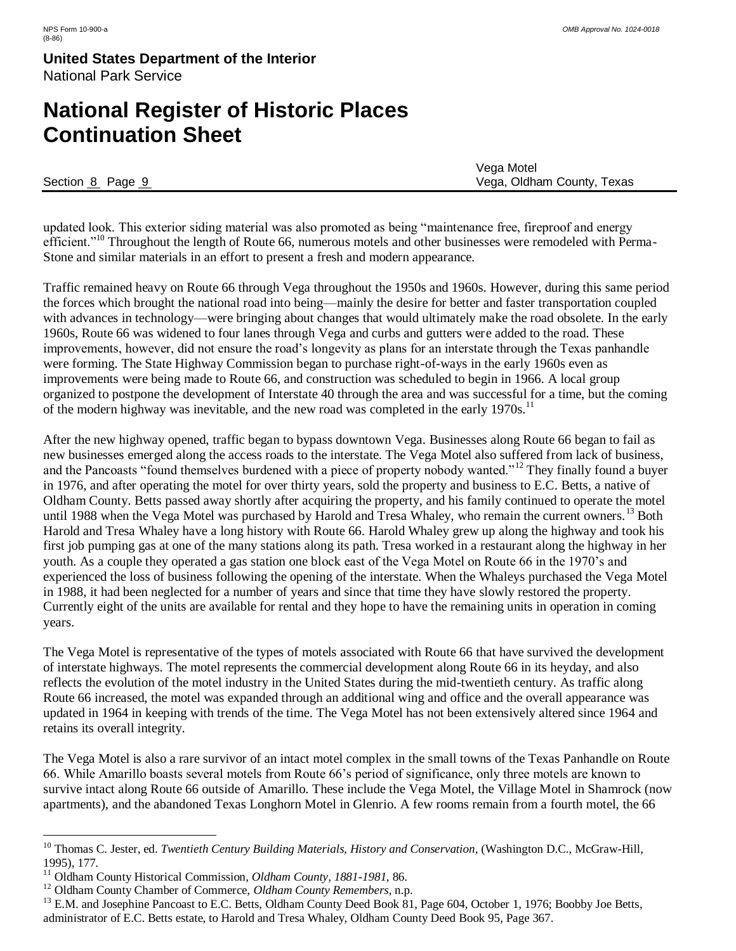## **National Register of Historic Places Continuation Sheet**

|                  | Vega Motel                 |
|------------------|----------------------------|
| Section 8 Page 9 | Vega, Oldham County, Texas |

updated look. This exterior siding material was also promoted as being "maintenance free, fireproof and energy efficient."<sup>10</sup> Throughout the length of Route 66, numerous motels and other businesses were remodeled with Perma-Stone and similar materials in an effort to present a fresh and modern appearance.

Traffic remained heavy on Route 66 through Vega throughout the 1950s and 1960s. However, during this same period the forces which brought the national road into being—mainly the desire for better and faster transportation coupled with advances in technology—were bringing about changes that would ultimately make the road obsolete. In the early 1960s, Route 66 was widened to four lanes through Vega and curbs and gutters were added to the road. These improvements, however, did not ensure the road's longevity as plans for an interstate through the Texas panhandle were forming. The State Highway Commission began to purchase right-of-ways in the early 1960s even as improvements were being made to Route 66, and construction was scheduled to begin in 1966. A local group organized to postpone the development of Interstate 40 through the area and was successful for a time, but the coming of the modern highway was inevitable, and the new road was completed in the early 1970s.<sup>11</sup>

After the new highway opened, traffic began to bypass downtown Vega. Businesses along Route 66 began to fail as new businesses emerged along the access roads to the interstate. The Vega Motel also suffered from lack of business, and the Pancoasts "found themselves burdened with a piece of property nobody wanted."<sup>12</sup> They finally found a buyer in 1976, and after operating the motel for over thirty years, sold the property and business to E.C. Betts, a native of Oldham County. Betts passed away shortly after acquiring the property, and his family continued to operate the motel until 1988 when the Vega Motel was purchased by Harold and Tresa Whaley, who remain the current owners.<sup>13</sup> Both Harold and Tresa Whaley have a long history with Route 66. Harold Whaley grew up along the highway and took his first job pumping gas at one of the many stations along its path. Tresa worked in a restaurant along the highway in her youth. As a couple they operated a gas station one block east of the Vega Motel on Route 66 in the 1970's and experienced the loss of business following the opening of the interstate. When the Whaleys purchased the Vega Motel in 1988, it had been neglected for a number of years and since that time they have slowly restored the property. Currently eight of the units are available for rental and they hope to have the remaining units in operation in coming years.

The Vega Motel is representative of the types of motels associated with Route 66 that have survived the development of interstate highways. The motel represents the commercial development along Route 66 in its heyday, and also reflects the evolution of the motel industry in the United States during the mid-twentieth century. As traffic along Route 66 increased, the motel was expanded through an additional wing and office and the overall appearance was updated in 1964 in keeping with trends of the time. The Vega Motel has not been extensively altered since 1964 and retains its overall integrity.

The Vega Motel is also a rare survivor of an intact motel complex in the small towns of the Texas Panhandle on Route 66. While Amarillo boasts several motels from Route 66's period of significance, only three motels are known to survive intact along Route 66 outside of Amarillo. These include the Vega Motel, the Village Motel in Shamrock (now apartments), and the abandoned Texas Longhorn Motel in Glenrio. A few rooms remain from a fourth motel, the 66

 $\overline{a}$ <sup>10</sup> Thomas C. Jester, ed. *Twentieth Century Building Materials, History and Conservation*, (Washington D.C., McGraw-Hill, 1995), 177.

<sup>11</sup> Oldham County Historical Commission, *Oldham County, 1881-1981*, 86.

<sup>12</sup> Oldham County Chamber of Commerce, *Oldham County Remembers*, n.p.

<sup>&</sup>lt;sup>13</sup> E.M. and Josephine Pancoast to E.C. Betts, Oldham County Deed Book 81, Page 604, October 1, 1976; Boobby Joe Betts, administrator of E.C. Betts estate, to Harold and Tresa Whaley, Oldham County Deed Book 95, Page 367.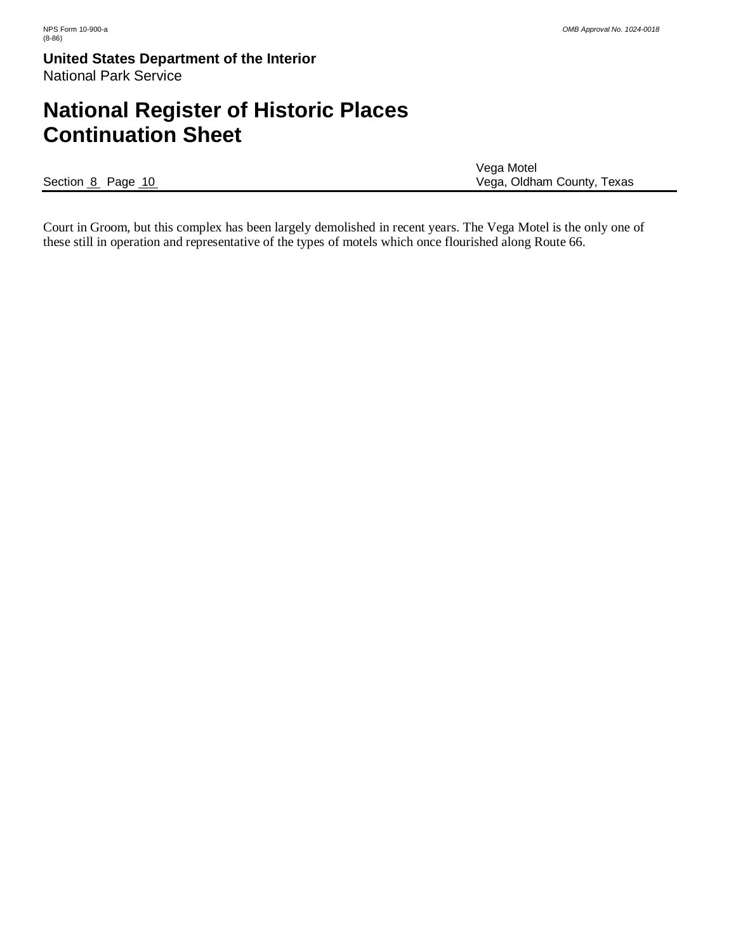# **National Register of Historic Places Continuation Sheet**

|                   | Vega Motel                 |
|-------------------|----------------------------|
| Section 8 Page 10 | Vega, Oldham County, Texas |

Court in Groom, but this complex has been largely demolished in recent years. The Vega Motel is the only one of these still in operation and representative of the types of motels which once flourished along Route 66.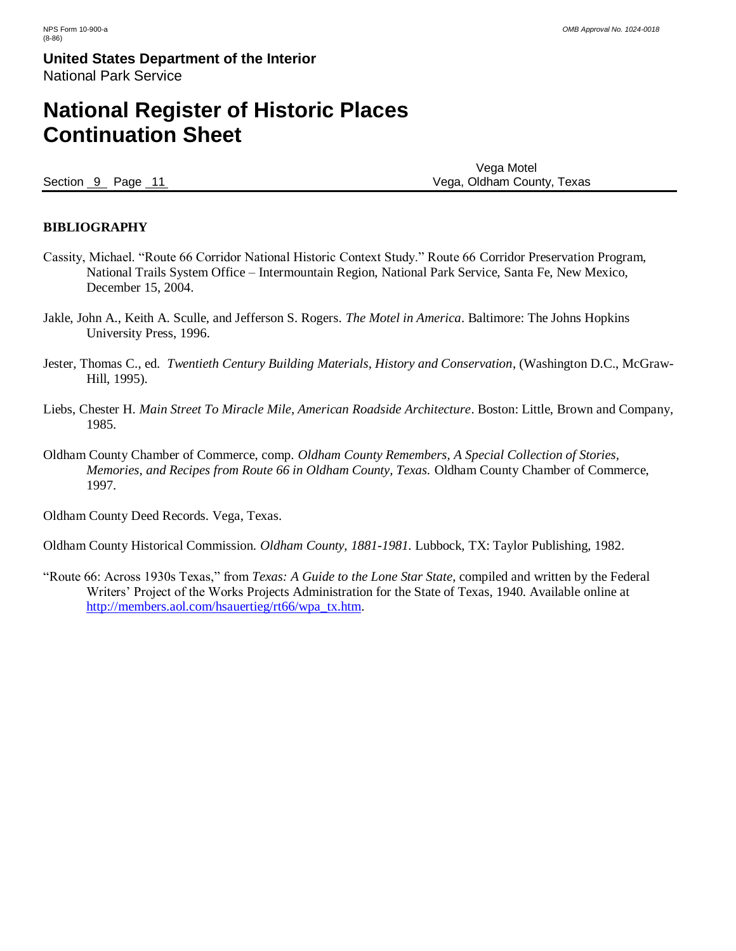## **National Register of Historic Places Continuation Sheet**

Vega Motel Section 9 Page 11 **Page 11 Page 11 Page 11 Page 11 Page 11 Page 11 Page 11 Page 11 Page 11 Page 11 Page 11 Page 11 Page 11 Page 11 Page 11 Page 11 Page 11 Page 11 Page 11 Page 11 Pag** 

#### **BIBLIOGRAPHY**

- Cassity, Michael. "Route 66 Corridor National Historic Context Study." Route 66 Corridor Preservation Program, National Trails System Office – Intermountain Region, National Park Service, Santa Fe, New Mexico, December 15, 2004.
- Jakle, John A., Keith A. Sculle, and Jefferson S. Rogers. *The Motel in America*. Baltimore: The Johns Hopkins University Press, 1996.
- Jester, Thomas C., ed. *Twentieth Century Building Materials, History and Conservation*, (Washington D.C., McGraw-Hill, 1995).
- Liebs, Chester H. *Main Street To Miracle Mile, American Roadside Architecture*. Boston: Little, Brown and Company, 1985.
- Oldham County Chamber of Commerce, comp. *Oldham County Remembers, A Special Collection of Stories, Memories, and Recipes from Route 66 in Oldham County, Texas.* Oldham County Chamber of Commerce, 1997.

Oldham County Deed Records. Vega, Texas.

Oldham County Historical Commission. *Oldham County, 1881-1981*. Lubbock, TX: Taylor Publishing, 1982.

"Route 66: Across 1930s Texas," from *Texas: A Guide to the Lone Star State*, compiled and written by the Federal Writers' Project of the Works Projects Administration for the State of Texas, 1940. Available online at [http://members.aol.com/hsauertieg/rt66/wpa\\_tx.htm.](http://members.aol.com/hsauertieg/rt66/wpa_tx.htm)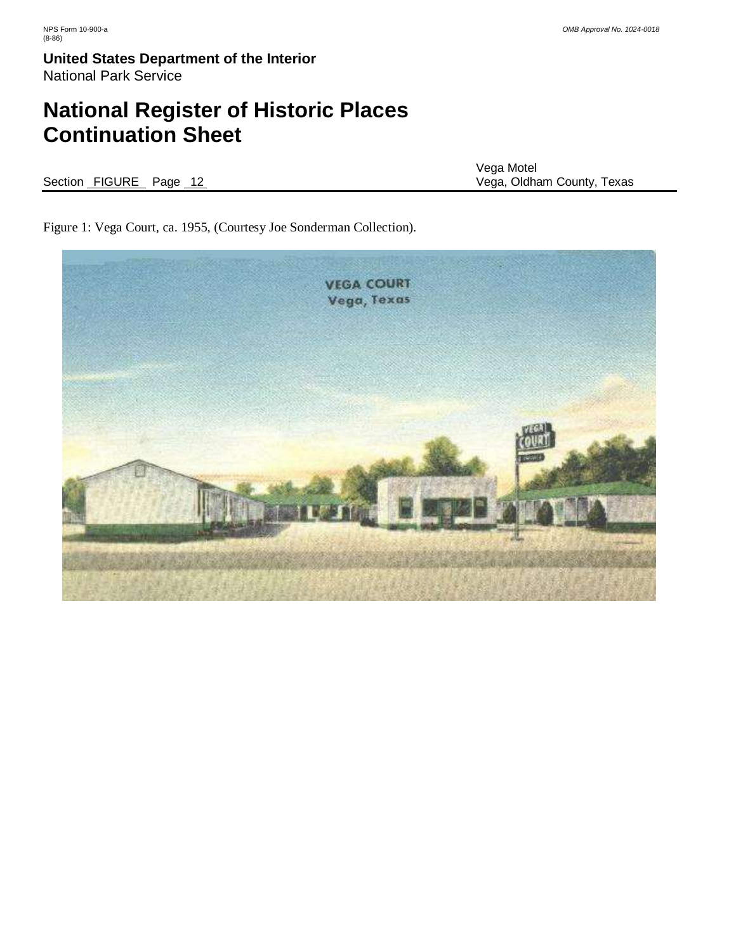# **National Register of Historic Places Continuation Sheet**

|  |                        | Vega Motel                 |
|--|------------------------|----------------------------|
|  | Section FIGURE Page 12 | Vega, Oldham County, Texas |

Figure 1: Vega Court, ca. 1955, (Courtesy Joe Sonderman Collection).

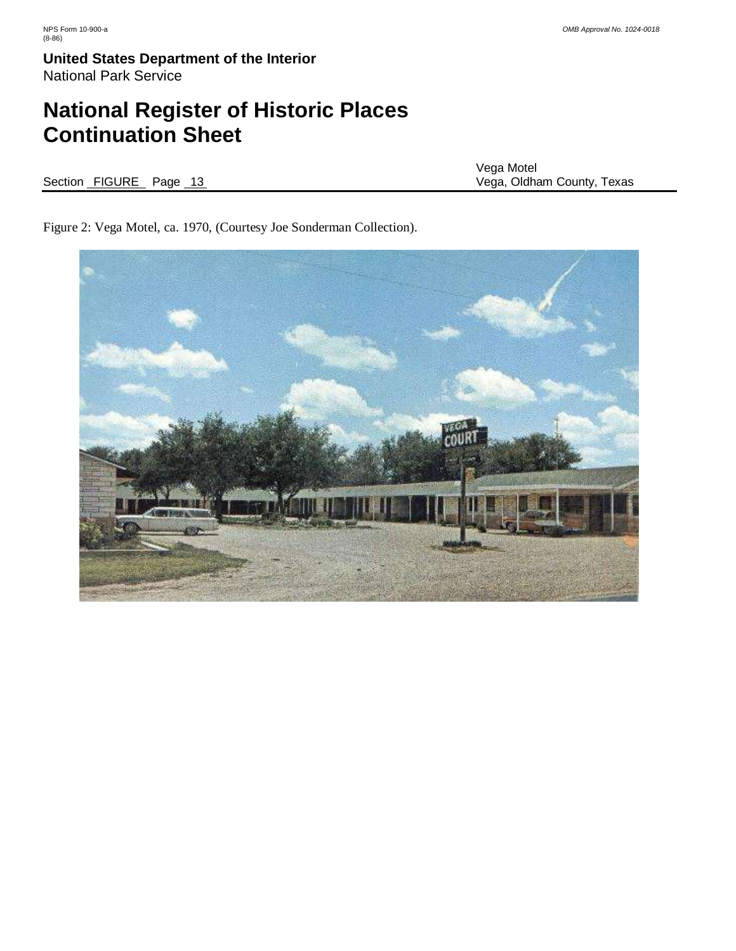# **National Register of Historic Places Continuation Sheet**

Section FIGURE Page 13 3

Vega Motel

Figure 2: Vega Motel, ca. 1970, (Courtesy Joe Sonderman Collection).

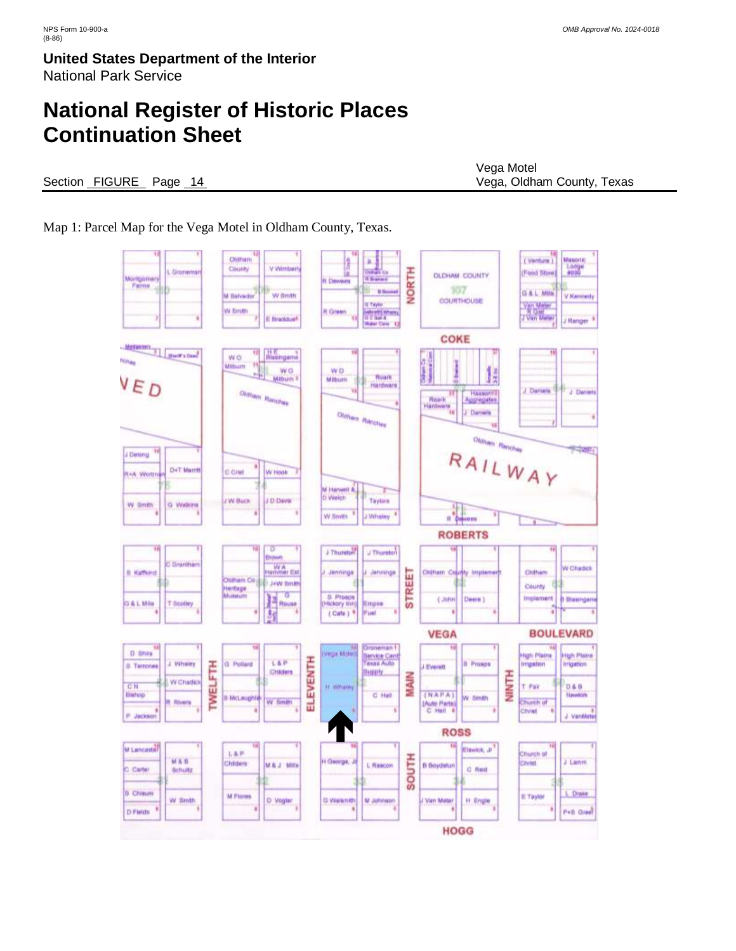# **National Register of Historic Places Continuation Sheet**

#### Section FIGURE Page 14 Vega, Oldham County, Texas

Vega Motel

Map 1: Parcel Map for the Vega Motel in Oldham County, Texas.

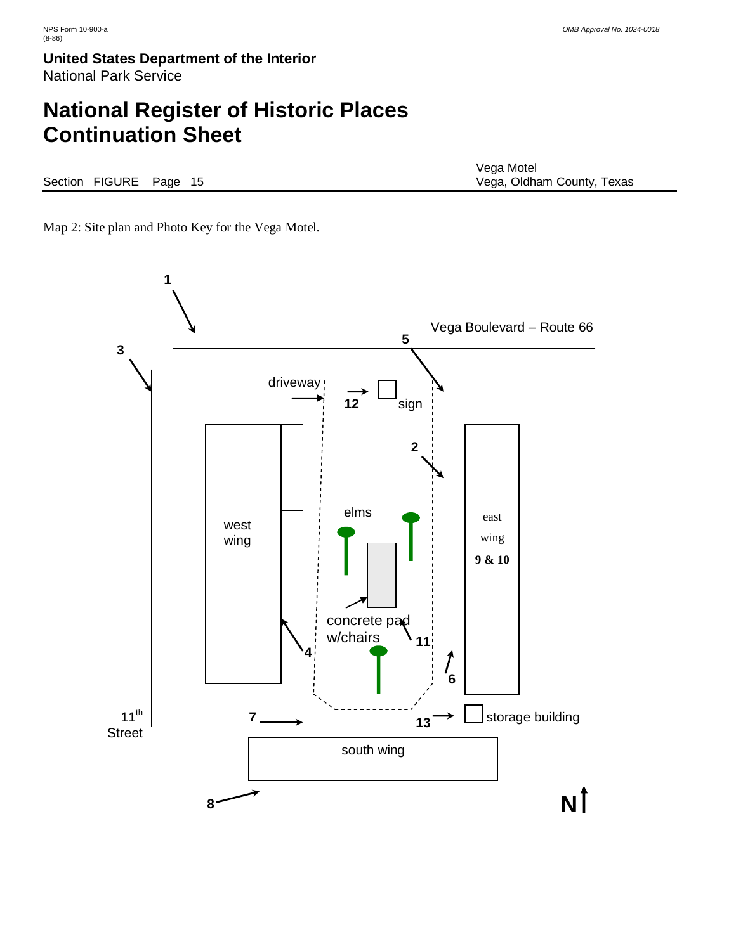# **National Register of Historic Places Continuation Sheet**

Section FIGURE Page 15

Vega Motel<br>Vega, Oldham County, Texas

Map 2: Site plan and Photo Key for the Vega Motel.